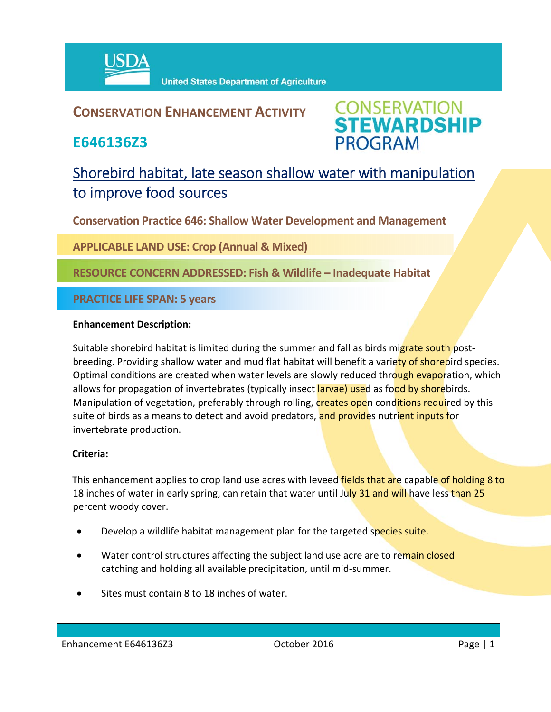

**United States Department of Agriculture** 

### **CONSERVATION ENHANCEMENT ACTIVITY**

**E646136Z3**



## Shorebird habitat, late season shallow water with manipulation to improve food sources

**Conservation Practice 646: Shallow Water Development and Management**

**APPLICABLE LAND USE: Crop (Annual & Mixed)**

**RESOURCE CONCERN ADDRESSED: Fish & Wildlife – Inadequate Habitat**

**PRACTICE LIFE SPAN: 5 years**

#### **Enhancement Description:**

Suitable shorebird habitat is limited during the summer and fall as birds migrate south postbreeding. Providing shallow water and mud flat habitat will benefit a variety of shorebird species. Optimal conditions are created when water levels are slowly reduced through evaporation, which allows for propagation of invertebrates (typically insect larvae) used as food by shorebirds. Manipulation of vegetation, preferably through rolling, creates open conditions required by this suite of birds as a means to detect and avoid predators, and provides nutrient inputs for invertebrate production.

#### **Criteria:**

This enhancement applies to crop land use acres with leveed fields that are capable of holding 8 to 18 inches of water in early spring, can retain that water until July 31 and will have less than 25 percent woody cover.

- **•** Develop a wildlife habitat management plan for the targeted species suite.
- Water control structures affecting the subject land use acre are to remain closed catching and holding all available precipitation, until mid‐summer.
- Sites must contain 8 to 18 inches of water.

| Enhancement E646136Z3 | 2016<br>October | age? |
|-----------------------|-----------------|------|